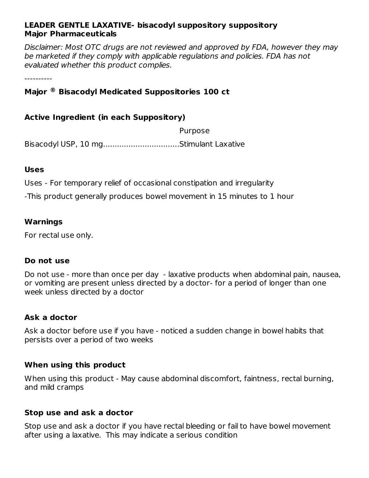#### **LEADER GENTLE LAXATIVE- bisacodyl suppository suppository Major Pharmaceuticals**

Disclaimer: Most OTC drugs are not reviewed and approved by FDA, however they may be marketed if they comply with applicable regulations and policies. FDA has not evaluated whether this product complies.

----------

# **Major Bisacodyl Medicated Suppositories 100 ct ®**

#### **Active Ingredient (in each Suppository)**

Purpose Bisacodyl USP, 10 mg.................................Stimulant Laxative

#### **Uses**

Uses - For temporary relief of occasional constipation and irregularity

-This product generally produces bowel movement in 15 minutes to 1 hour

#### **Warnings**

For rectal use only.

#### **Do not use**

Do not use - more than once per day - laxative products when abdominal pain, nausea, or vomiting are present unless directed by a doctor- for a period of longer than one week unless directed by a doctor

#### **Ask a doctor**

Ask a doctor before use if you have - noticed a sudden change in bowel habits that persists over a period of two weeks

#### **When using this product**

When using this product - May cause abdominal discomfort, faintness, rectal burning, and mild cramps

#### **Stop use and ask a doctor**

Stop use and ask a doctor if you have rectal bleeding or fail to have bowel movement after using a laxative. This may indicate a serious condition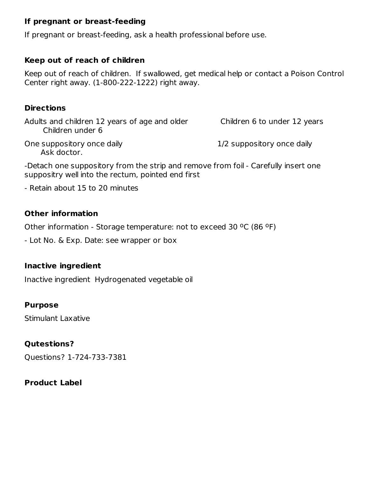### **If pregnant or breast-feeding**

If pregnant or breast-feeding, ask a health professional before use.

## **Keep out of reach of children**

Keep out of reach of children. If swallowed, get medical help or contact a Poison Control Center right away. (1-800-222-1222) right away.

#### **Directions**

Adults and children 12 years of age and older Children 6 to under 12 years Children under 6

One suppository once daily and the suppository once daily Ask doctor.

-Detach one suppository from the strip and remove from foil - Carefully insert one suppositry well into the rectum, pointed end first

- Retain about 15 to 20 minutes

## **Other information**

Other information - Storage temperature: not to exceed 30 °C (86 °F)

- Lot No. & Exp. Date: see wrapper or box

#### **Inactive ingredient**

Inactive ingredient Hydrogenated vegetable oil

## **Purpose**

Stimulant Laxative

## **Qutestions?**

Questions? 1-724-733-7381

## **Product Label**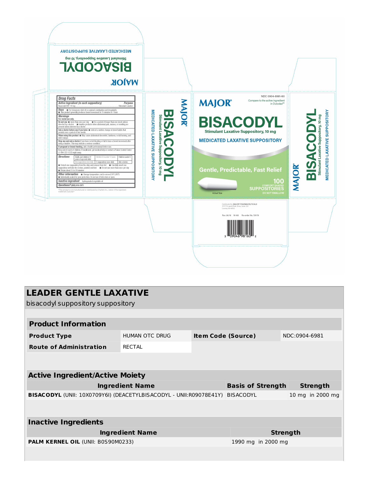

| <b>LEADER GENTLE LAXATIVE</b><br>bisacodyl suppository suppository |                       |                           |                    |                  |  |  |  |
|--------------------------------------------------------------------|-----------------------|---------------------------|--------------------|------------------|--|--|--|
|                                                                    |                       |                           |                    |                  |  |  |  |
| <b>Product Information</b>                                         |                       |                           |                    |                  |  |  |  |
| <b>Product Type</b>                                                | <b>HUMAN OTC DRUG</b> | <b>Item Code (Source)</b> |                    | NDC:0904-6981    |  |  |  |
| <b>Route of Administration</b>                                     | <b>RECTAL</b>         |                           |                    |                  |  |  |  |
|                                                                    |                       |                           |                    |                  |  |  |  |
| <b>Active Ingredient/Active Moiety</b>                             |                       |                           |                    |                  |  |  |  |
| <b>Ingredient Name</b>                                             |                       | <b>Basis of Strength</b>  | <b>Strength</b>    |                  |  |  |  |
| BISACODYL (UNII: 10X0709Y6I) (DEACETYLBISACODYL - UNII:R09078E41Y) |                       |                           | <b>BISACODYL</b>   | 10 mg in 2000 mg |  |  |  |
|                                                                    |                       |                           |                    |                  |  |  |  |
| <b>Inactive Ingredients</b>                                        |                       |                           |                    |                  |  |  |  |
| <b>Ingredient Name</b>                                             |                       |                           | <b>Strength</b>    |                  |  |  |  |
| PALM KERNEL OIL (UNII: B0S90M0233)                                 |                       |                           | 1990 mg in 2000 mg |                  |  |  |  |
|                                                                    |                       |                           |                    |                  |  |  |  |
|                                                                    |                       |                           |                    |                  |  |  |  |